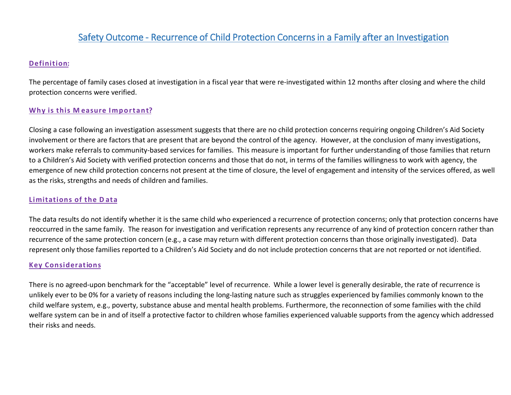# Safety Outcome - Recurrence of Child Protection Concerns in a Family after an Investigation

# **Definition:**

The percentage of family cases closed at investigation in a fiscal year that were re-investigated within 12 months after closing and where the child protection concerns were verified.

# **Why is this M easure Important?**

Closing a case following an investigation assessment suggests that there are no child protection concerns requiring ongoing Children's Aid Society involvement or there are factors that are present that are beyond the control of the agency. However, at the conclusion of many investigations, workers make referrals to community-based services for families. This measure is important for further understanding of those families that return to a Children's Aid Society with verified protection concerns and those that do not, in terms of the families willingness to work with agency, the emergence of new child protection concerns not present at the time of closure, the level of engagement and intensity of the services offered, as well as the risks, strengths and needs of children and families.

### **Limitations of the D ata**

The data results do not identify whether it is the same child who experienced a recurrence of protection concerns; only that protection concerns have reoccurred in the same family. The reason for investigation and verification represents any recurrence of any kind of protection concern rather than recurrence of the same protection concern (e.g., a case may return with different protection concerns than those originally investigated). Data represent only those families reported to a Children's Aid Society and do not include protection concerns that are not reported or not identified.

#### **Key Considerations**

There is no agreed-upon benchmark for the "acceptable" level of recurrence. While a lower level is generally desirable, the rate of recurrence is unlikely ever to be 0% for a variety of reasons including the long-lasting nature such as struggles experienced by families commonly known to the child welfare system, e.g., poverty, substance abuse and mental health problems. Furthermore, the reconnection of some families with the child welfare system can be in and of itself a protective factor to children whose families experienced valuable supports from the agency which addressed their risks and needs.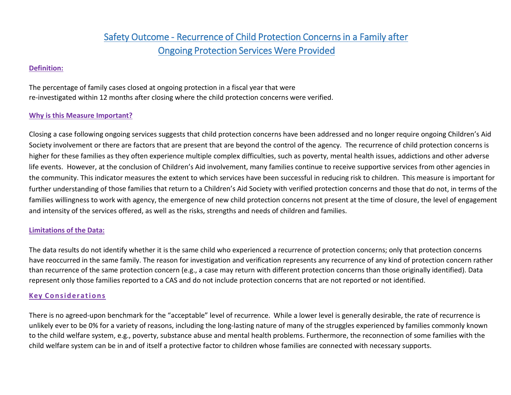# Safety Outcome - Recurrence of Child Protection Concerns in a Family after Ongoing Protection Services Were Provided

## **Definition:**

The percentage of family cases closed at ongoing protection in a fiscal year that were re-investigated within 12 months after closing where the child protection concerns were verified.

### **Why is this Measure Important?**

Closing a case following ongoing services suggests that child protection concerns have been addressed and no longer require ongoing Children's Aid Society involvement or there are factors that are present that are beyond the control of the agency. The recurrence of child protection concerns is higher for these families as they often experience multiple complex difficulties, such as poverty, mental health issues, addictions and other adverse life events. However, at the conclusion of Children's Aid involvement, many families continue to receive supportive services from other agencies in the community. This indicator measures the extent to which services have been successful in reducing risk to children. This measure is important for further understanding of those families that return to a Children's Aid Society with verified protection concerns and those that do not, in terms of the families willingness to work with agency, the emergence of new child protection concerns not present at the time of closure, the level of engagement and intensity of the services offered, as well as the risks, strengths and needs of children and families.

#### **Limitations of the Data:**

The data results do not identify whether it is the same child who experienced a recurrence of protection concerns; only that protection concerns have reoccurred in the same family. The reason for investigation and verification represents any recurrence of any kind of protection concern rather than recurrence of the same protection concern (e.g., a case may return with different protection concerns than those originally identified). Data represent only those families reported to a CAS and do not include protection concerns that are not reported or not identified.

#### **Key Considerations**

There is no agreed-upon benchmark for the "acceptable" level of recurrence. While a lower level is generally desirable, the rate of recurrence is unlikely ever to be 0% for a variety of reasons, including the long-lasting nature of many of the struggles experienced by families commonly known to the child welfare system, e.g., poverty, substance abuse and mental health problems. Furthermore, the reconnection of some families with the child welfare system can be in and of itself a protective factor to children whose families are connected with necessary supports.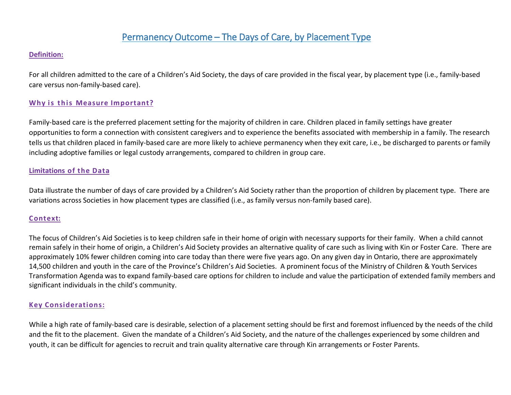# Permanency Outcome – The Days of Care, by Placement Type

#### **Definition:**

For all children admitted to the care of a Children's Aid Society, the days of care provided in the fiscal year, by placement type (i.e., family-based care versus non-family-based care).

#### **Why is this Measure Important?**

Family-based care is the preferred placement setting for the majority of children in care. Children placed in family settings have greater opportunities to form a connection with consistent caregivers and to experience the benefits associated with membership in a family. The research tells us that children placed in family-based care are more likely to achieve permanency when they exit care, i.e., be discharged to parents or family including adoptive families or legal custody arrangements, compared to children in group care.

#### **Limitations of the Data**

Data illustrate the number of days of care provided by a Children's Aid Society rather than the proportion of children by placement type. There are variations across Societies in how placement types are classified (i.e., as family versus non-family based care).

#### **Context:**

The focus of Children's Aid Societies is to keep children safe in their home of origin with necessary supports for their family. When a child cannot remain safely in their home of origin, a Children's Aid Society provides an alternative quality of care such as living with Kin or Foster Care. There are approximately 10% fewer children coming into care today than there were five years ago. On any given day in Ontario, there are approximately 14,500 children and youth in the care of the Province's Children's Aid Societies. A prominent focus of the Ministry of Children & Youth Services Transformation Agenda was to expand family-based care options for children to include and value the participation of extended family members and significant individuals in the child's community.

#### **Key Considerations:**

While a high rate of family-based care is desirable, selection of a placement setting should be first and foremost influenced by the needs of the child and the fit to the placement. Given the mandate of a Children's Aid Society, and the nature of the challenges experienced by some children and youth, it can be difficult for agencies to recruit and train quality alternative care through Kin arrangements or Foster Parents.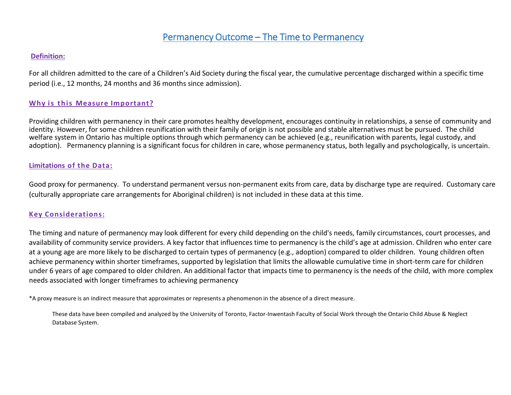# Permanency Outcome – The Time to Permanency

#### **Definition:**

For all children admitted to the care of a Children's Aid Society during the fiscal year, the cumulative percentage discharged within a specific time period (i.e., 12 months, 24 months and 36 months since admission).

#### **Why is this Measure Important?**

Providing children with permanency in their care promotes healthy development, encourages continuity in relationships, a sense of community and identity. However, for some children reunification with their family of origin is not possible and stable alternatives must be pursued. The child welfare system in Ontario has multiple options through which permanency can be achieved (e.g., reunification with parents, legal custody, and adoption). Permanency planning is a significant focus for children in care, whose permanency status, both legally and psychologically, is uncertain.

#### **Limitations of the Data:**

Good proxy for permanency. To understand permanent versus non-permanent exits from care, data by discharge type are required. Customary care (culturally appropriate care arrangements for Aboriginal children) is not included in these data at this time.

#### **Key Considerations:**

The timing and nature of permanency may look different for every child depending on the child's needs, family circumstances, court processes, and availability of community service providers. A key factor that influences time to permanency is the child's age at admission. Children who enter care at a young age are more likely to be discharged to certain types of permanency (e.g., adoption) compared to older children. Young children often achieve permanency within shorter timeframes, supported by legislation that limits the allowable cumulative time in short-term care for children under 6 years of age compared to older children. An additional factor that impacts time to permanency is the needs of the child, with more complex needs associated with longer timeframes to achieving permanency

\*A proxy measure is an indirect measure that approximates or represents a phenomenon in the absence of a direct measure.

These data have been compiled and analyzed by the University of Toronto, Factor-Inwentash Faculty of Social Work through the Ontario Child Abuse & Neglect Database System.